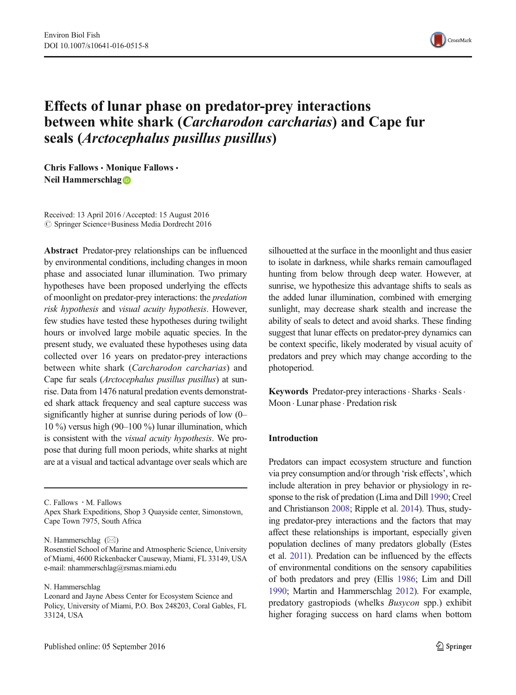

# Effects of lunar phase on predator-prey interactions between white shark (Carcharodon carcharias) and Cape fur seals (Arctocephalus pusillus pusillus)

Chris Fallows · Monique Fallows · Neil Hammerschlag

Received: 13 April 2016 /Accepted: 15 August 2016  $\oslash$  Springer Science+Business Media Dordrecht 2016

Abstract Predator-prey relationships can be influenced by environmental conditions, including changes in moon phase and associated lunar illumination. Two primary hypotheses have been proposed underlying the effects of moonlight on predator-prey interactions: the predation risk hypothesis and visual acuity hypothesis. However, few studies have tested these hypotheses during twilight hours or involved large mobile aquatic species. In the present study, we evaluated these hypotheses using data collected over 16 years on predator-prey interactions between white shark (Carcharodon carcharias) and Cape fur seals (Arctocephalus pusillus pusillus) at sunrise. Data from 1476 natural predation events demonstrated shark attack frequency and seal capture success was significantly higher at sunrise during periods of low (0– 10 %) versus high (90–100 %) lunar illumination, which is consistent with the visual acuity hypothesis. We propose that during full moon periods, white sharks at night are at a visual and tactical advantage over seals which are

C. Fallows : M. Fallows

Apex Shark Expeditions, Shop 3 Quayside center, Simonstown, Cape Town 7975, South Africa

N. Hammerschlag  $(\boxtimes)$ 

N. Hammerschlag

silhouetted at the surface in the moonlight and thus easier to isolate in darkness, while sharks remain camouflaged hunting from below through deep water. However, at sunrise, we hypothesize this advantage shifts to seals as the added lunar illumination, combined with emerging sunlight, may decrease shark stealth and increase the ability of seals to detect and avoid sharks. These finding suggest that lunar effects on predator-prey dynamics can be context specific, likely moderated by visual acuity of predators and prey which may change according to the photoperiod.

Keywords Predator-prey interactions · Sharks · Seals · Moon . Lunar phase . Predation risk

#### Introduction

Predators can impact ecosystem structure and function via prey consumption and/or through 'risk effects', which include alteration in prey behavior or physiology in response to the risk of predation (Lima and Dill [1990](#page-7-0); Creel and Christianson [2008;](#page-6-0) Ripple et al. [2014](#page-7-0)). Thus, studying predator-prey interactions and the factors that may affect these relationships is important, especially given population declines of many predators globally (Estes et al. [2011](#page-6-0)). Predation can be influenced by the effects of environmental conditions on the sensory capabilities of both predators and prey (Ellis [1986;](#page-6-0) Lim and Dill [1990](#page-7-0); Martin and Hammerschlag [2012](#page-7-0)). For example, predatory gastropiods (whelks Busycon spp.) exhibit higher foraging success on hard clams when bottom

Rosenstiel School of Marine and Atmospheric Science, University of Miami, 4600 Rickenbacker Causeway, Miami, FL 33149, USA e-mail: nhammerschlag@rsmas.miami.edu

Leonard and Jayne Abess Center for Ecosystem Science and Policy, University of Miami, P.O. Box 248203, Coral Gables, FL 33124, USA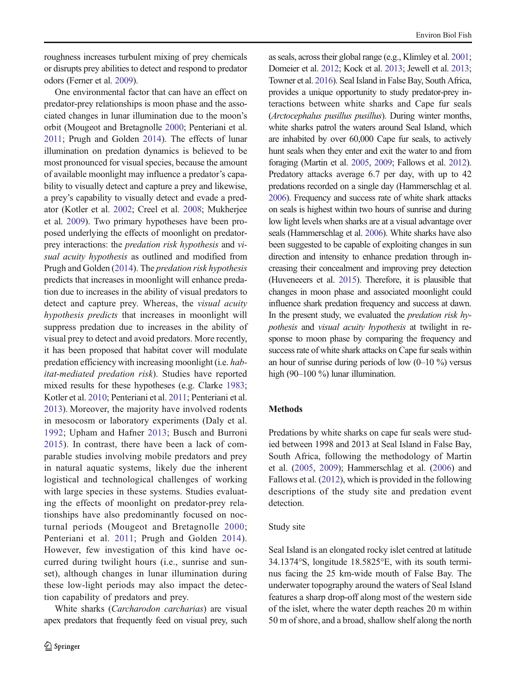roughness increases turbulent mixing of prey chemicals or disrupts prey abilities to detect and respond to predator odors (Ferner et al. [2009](#page-6-0)).

One environmental factor that can have an effect on predator-prey relationships is moon phase and the associated changes in lunar illumination due to the moon's orbit (Mougeot and Bretagnolle [2000;](#page-7-0) Penteriani et al. [2011](#page-7-0); Prugh and Golden [2014](#page-7-0)). The effects of lunar illumination on predation dynamics is believed to be most pronounced for visual species, because the amount of available moonlight may influence a predator's capability to visually detect and capture a prey and likewise, a prey's capability to visually detect and evade a predator (Kotler et al. [2002;](#page-6-0) Creel et al. [2008;](#page-6-0) Mukherjee et al. [2009](#page-7-0)). Two primary hypotheses have been proposed underlying the effects of moonlight on predatorprey interactions: the predation risk hypothesis and visual acuity hypothesis as outlined and modified from Prugh and Golden ([2014](#page-7-0)). The predation risk hypothesis predicts that increases in moonlight will enhance predation due to increases in the ability of visual predators to detect and capture prey. Whereas, the visual acuity hypothesis predicts that increases in moonlight will suppress predation due to increases in the ability of visual prey to detect and avoid predators. More recently, it has been proposed that habitat cover will modulate predation efficiency with increasing moonlight (i.e. habitat-mediated predation risk). Studies have reported mixed results for these hypotheses (e.g. Clarke [1983](#page-6-0); Kotler et al. [2010](#page-6-0); Penteriani et al. [2011](#page-7-0); Penteriani et al. [2013](#page-7-0)). Moreover, the majority have involved rodents in mesocosm or laboratory experiments (Daly et al. [1992](#page-6-0); Upham and Hafner [2013](#page-7-0); Busch and Burroni [2015](#page-6-0)). In contrast, there have been a lack of comparable studies involving mobile predators and prey in natural aquatic systems, likely due the inherent logistical and technological challenges of working with large species in these systems. Studies evaluating the effects of moonlight on predator-prey relationships have also predominantly focused on nocturnal periods (Mougeot and Bretagnolle [2000](#page-7-0); Penteriani et al. [2011](#page-7-0); Prugh and Golden [2014](#page-7-0)). However, few investigation of this kind have occurred during twilight hours (i.e., sunrise and sunset), although changes in lunar illumination during these low-light periods may also impact the detection capability of predators and prey.

White sharks (Carcharodon carcharias) are visual apex predators that frequently feed on visual prey, such as seals, across their global range (e.g., Klimley et al. [2001;](#page-6-0) Domeier et al. [2012](#page-6-0); Kock et al. [2013;](#page-6-0) Jewell et al. [2013;](#page-6-0) Towner et al. [2016\)](#page-7-0). Seal Island in False Bay, South Africa, provides a unique opportunity to study predator-prey interactions between white sharks and Cape fur seals (Arctocephalus pusillus pusillus). During winter months, white sharks patrol the waters around Seal Island, which are inhabited by over 60,000 Cape fur seals, to actively hunt seals when they enter and exit the water to and from foraging (Martin et al. [2005](#page-7-0), [2009;](#page-7-0) Fallows et al. [2012\)](#page-6-0). Predatory attacks average 6.7 per day, with up to 42 predations recorded on a single day (Hammerschlag et al. [2006\)](#page-6-0). Frequency and success rate of white shark attacks on seals is highest within two hours of sunrise and during low light levels when sharks are at a visual advantage over seals (Hammerschlag et al. [2006](#page-6-0)). White sharks have also been suggested to be capable of exploiting changes in sun direction and intensity to enhance predation through increasing their concealment and improving prey detection (Huveneeers et al. [2015](#page-6-0)). Therefore, it is plausible that changes in moon phase and associated moonlight could influence shark predation frequency and success at dawn. In the present study, we evaluated the predation risk hypothesis and visual acuity hypothesis at twilight in response to moon phase by comparing the frequency and success rate of white shark attacks on Cape fur seals within an hour of sunrise during periods of low  $(0-10\%)$  versus high (90–100 %) lunar illumination.

#### Methods

Predations by white sharks on cape fur seals were studied between 1998 and 2013 at Seal Island in False Bay, South Africa, following the methodology of Martin et al. ([2005](#page-7-0), [2009](#page-7-0)); Hammerschlag et al. [\(2006\)](#page-6-0) and Fallows et al. [\(2012\)](#page-6-0), which is provided in the following descriptions of the study site and predation event detection.

# Study site

Seal Island is an elongated rocky islet centred at latitude 34.1374°S, longitude 18.5825°E, with its south terminus facing the 25 km-wide mouth of False Bay. The underwater topography around the waters of Seal Island features a sharp drop-off along most of the western side of the islet, where the water depth reaches 20 m within 50 m of shore, and a broad, shallow shelf along the north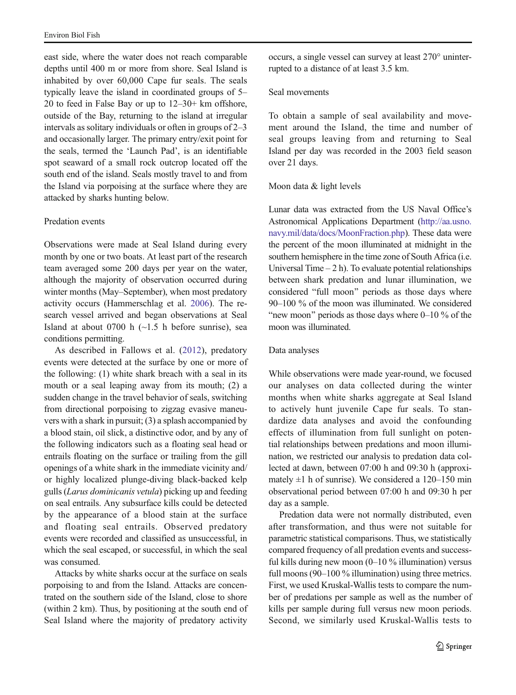east side, where the water does not reach comparable depths until 400 m or more from shore. Seal Island is inhabited by over 60,000 Cape fur seals. The seals typically leave the island in coordinated groups of 5– 20 to feed in False Bay or up to 12–30+ km offshore, outside of the Bay, returning to the island at irregular intervals as solitary individuals or often in groups of 2–3 and occasionally larger. The primary entry/exit point for the seals, termed the 'Launch Pad', is an identifiable spot seaward of a small rock outcrop located off the south end of the island. Seals mostly travel to and from the Island via porpoising at the surface where they are attacked by sharks hunting below.

### Predation events

Observations were made at Seal Island during every month by one or two boats. At least part of the research team averaged some 200 days per year on the water, although the majority of observation occurred during winter months (May–September), when most predatory activity occurs (Hammerschlag et al. [2006\)](#page-6-0). The research vessel arrived and began observations at Seal Island at about 0700 h  $(\sim 1.5$  h before sunrise), sea conditions permitting.

As described in Fallows et al. [\(2012\)](#page-6-0), predatory events were detected at the surface by one or more of the following: (1) white shark breach with a seal in its mouth or a seal leaping away from its mouth; (2) a sudden change in the travel behavior of seals, switching from directional porpoising to zigzag evasive maneuvers with a shark in pursuit; (3) a splash accompanied by a blood stain, oil slick, a distinctive odor, and by any of the following indicators such as a floating seal head or entrails floating on the surface or trailing from the gill openings of a white shark in the immediate vicinity and/ or highly localized plunge-diving black-backed kelp gulls (Larus dominicanis vetula) picking up and feeding on seal entrails. Any subsurface kills could be detected by the appearance of a blood stain at the surface and floating seal entrails. Observed predatory events were recorded and classified as unsuccessful, in which the seal escaped, or successful, in which the seal was consumed.

Attacks by white sharks occur at the surface on seals porpoising to and from the Island. Attacks are concentrated on the southern side of the Island, close to shore (within 2 km). Thus, by positioning at the south end of Seal Island where the majority of predatory activity

occurs, a single vessel can survey at least 270° uninterrupted to a distance of at least 3.5 km.

### Seal movements

To obtain a sample of seal availability and movement around the Island, the time and number of seal groups leaving from and returning to Seal Island per day was recorded in the 2003 field season over 21 days.

## Moon data & light levels

Lunar data was extracted from the US Naval Office's Astronomical Applications Department [\(http://aa.usno.](http://aa.usno.navy.mil/data/docs/MoonFraction.php) [navy.mil/data/docs/MoonFraction.php](http://aa.usno.navy.mil/data/docs/MoonFraction.php)). These data were the percent of the moon illuminated at midnight in the southern hemisphere in the time zone of South Africa (i.e. Universal Time  $-2$  h). To evaluate potential relationships between shark predation and lunar illumination, we considered "full moon" periods as those days where 90–100 % of the moon was illuminated. We considered "new moon" periods as those days where  $0-10$  % of the moon was illuminated.

# Data analyses

While observations were made year-round, we focused our analyses on data collected during the winter months when white sharks aggregate at Seal Island to actively hunt juvenile Cape fur seals. To standardize data analyses and avoid the confounding effects of illumination from full sunlight on potential relationships between predations and moon illumination, we restricted our analysis to predation data collected at dawn, between 07:00 h and 09:30 h (approximately  $\pm 1$  h of sunrise). We considered a 120–150 min observational period between 07:00 h and 09:30 h per day as a sample.

Predation data were not normally distributed, even after transformation, and thus were not suitable for parametric statistical comparisons. Thus, we statistically compared frequency of all predation events and successful kills during new moon (0–10 % illumination) versus full moons (90–100 % illumination) using three metrics. First, we used Kruskal-Wallis tests to compare the number of predations per sample as well as the number of kills per sample during full versus new moon periods. Second, we similarly used Kruskal-Wallis tests to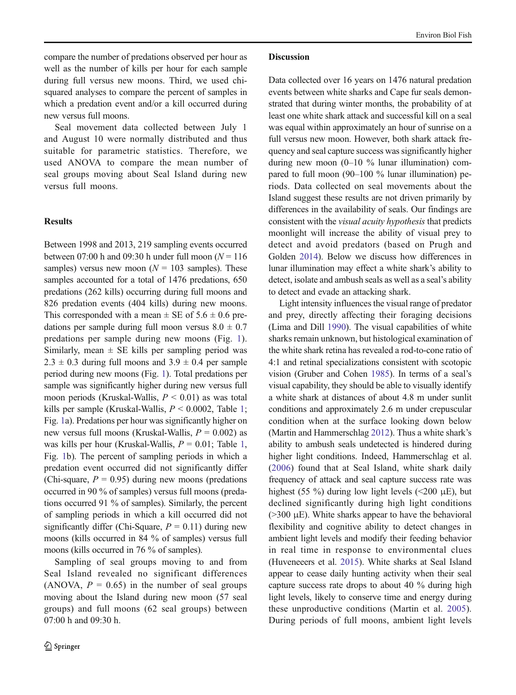compare the number of predations observed per hour as well as the number of kills per hour for each sample during full versus new moons. Third, we used chisquared analyses to compare the percent of samples in which a predation event and/or a kill occurred during new versus full moons.

Seal movement data collected between July 1 and August 10 were normally distributed and thus suitable for parametric statistics. Therefore, we used ANOVA to compare the mean number of seal groups moving about Seal Island during new versus full moons.

# **Results**

Between 1998 and 2013, 219 sampling events occurred between 07:00 h and 09:30 h under full moon ( $N = 116$ ) samples) versus new moon ( $N = 103$  samples). These samples accounted for a total of 1476 predations, 650 predations (262 kills) occurring during full moons and 826 predation events (404 kills) during new moons. This corresponded with a mean  $\pm$  SE of 5.6  $\pm$  0.6 predations per sample during full moon versus  $8.0 \pm 0.7$ predations per sample during new moons (Fig. [1](#page-4-0)). Similarly, mean  $\pm$  SE kills per sampling period was  $2.3 \pm 0.3$  during full moons and  $3.9 \pm 0.4$  per sample period during new moons (Fig. [1](#page-4-0)). Total predations per sample was significantly higher during new versus full moon periods (Kruskal-Wallis,  $P \leq 0.01$ ) as was total kills per sample (Kruskal-Wallis,  $P \le 0.0002$ , Table [1](#page-4-0); Fig. [1](#page-4-0)a). Predations per hour was significantly higher on new versus full moons (Kruskal-Wallis,  $P = 0.002$ ) as was kills per hour (Kruskal-Wallis,  $P = 0.01$ ; Table [1,](#page-4-0) Fig. [1b](#page-4-0)). The percent of sampling periods in which a predation event occurred did not significantly differ (Chi-square,  $P = 0.95$ ) during new moons (predations occurred in 90 % of samples) versus full moons (predations occurred 91 % of samples). Similarly, the percent of sampling periods in which a kill occurred did not significantly differ (Chi-Square,  $P = 0.11$ ) during new moons (kills occurred in 84 % of samples) versus full moons (kills occurred in 76 % of samples).

Sampling of seal groups moving to and from Seal Island revealed no significant differences (ANOVA,  $P = 0.65$ ) in the number of seal groups moving about the Island during new moon (57 seal groups) and full moons (62 seal groups) between 07:00 h and 09:30 h.

## Discussion

Data collected over 16 years on 1476 natural predation events between white sharks and Cape fur seals demonstrated that during winter months, the probability of at least one white shark attack and successful kill on a seal was equal within approximately an hour of sunrise on a full versus new moon. However, both shark attack frequency and seal capture success was significantly higher during new moon  $(0-10\%$  lunar illumination) compared to full moon (90–100 % lunar illumination) periods. Data collected on seal movements about the Island suggest these results are not driven primarily by differences in the availability of seals. Our findings are consistent with the visual acuity hypothesis that predicts moonlight will increase the ability of visual prey to detect and avoid predators (based on Prugh and Golden [2014](#page-7-0)). Below we discuss how differences in lunar illumination may effect a white shark's ability to detect, isolate and ambush seals as well as a seal's ability to detect and evade an attacking shark.

Light intensity influences the visual range of predator and prey, directly affecting their foraging decisions (Lima and Dill [1990\)](#page-7-0). The visual capabilities of white sharks remain unknown, but histological examination of the white shark retina has revealed a rod-to-cone ratio of 4:1 and retinal specializations consistent with scotopic vision (Gruber and Cohen [1985](#page-6-0)). In terms of a seal's visual capability, they should be able to visually identify a white shark at distances of about 4.8 m under sunlit conditions and approximately 2.6 m under crepuscular condition when at the surface looking down below (Martin and Hammerschlag [2012](#page-7-0)). Thus a white shark's ability to ambush seals undetected is hindered during higher light conditions. Indeed, Hammerschlag et al. [\(2006](#page-6-0)) found that at Seal Island, white shark daily frequency of attack and seal capture success rate was highest (55 %) during low light levels ( $\leq$ 200  $\mu$ E), but declined significantly during high light conditions  $(>=300 \mu E)$ . White sharks appear to have the behavioral flexibility and cognitive ability to detect changes in ambient light levels and modify their feeding behavior in real time in response to environmental clues (Huveneeers et al. [2015\)](#page-6-0). White sharks at Seal Island appear to cease daily hunting activity when their seal capture success rate drops to about 40 % during high light levels, likely to conserve time and energy during these unproductive conditions (Martin et al. [2005\)](#page-7-0). During periods of full moons, ambient light levels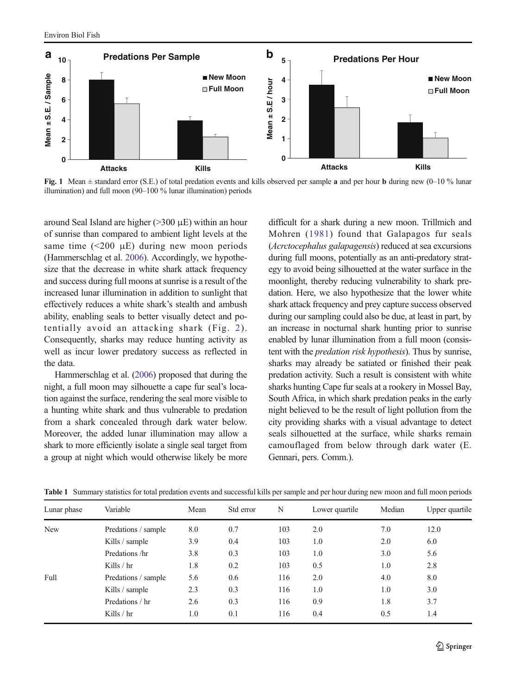<span id="page-4-0"></span>

Fig. 1 Mean ± standard error (S.E.) of total predation events and kills observed per sample a and per hour b during new (0–10 % lunar illumination) and full moon (90–100 % lunar illumination) periods

around Seal Island are higher ( $>300 \mu E$ ) within an hour of sunrise than compared to ambient light levels at the same time  $(<200 \mu E$ ) during new moon periods (Hammerschlag et al. [2006](#page-6-0)). Accordingly, we hypothesize that the decrease in white shark attack frequency and success during full moons at sunrise is a result of the increased lunar illumination in addition to sunlight that effectively reduces a white shark's stealth and ambush ability, enabling seals to better visually detect and potentially avoid an attacking shark (Fig. [2\)](#page-5-0). Consequently, sharks may reduce hunting activity as well as incur lower predatory success as reflected in the data.

Hammerschlag et al. [\(2006](#page-6-0)) proposed that during the night, a full moon may silhouette a cape fur seal's location against the surface, rendering the seal more visible to a hunting white shark and thus vulnerable to predation from a shark concealed through dark water below. Moreover, the added lunar illumination may allow a shark to more efficiently isolate a single seal target from a group at night which would otherwise likely be more difficult for a shark during a new moon. Trillmich and Mohren ([1981\)](#page-7-0) found that Galapagos fur seals (Acrctocephalus galapagensis) reduced at sea excursions during full moons, potentially as an anti-predatory strategy to avoid being silhouetted at the water surface in the moonlight, thereby reducing vulnerability to shark predation. Here, we also hypothesize that the lower white shark attack frequency and prey capture success observed during our sampling could also be due, at least in part, by an increase in nocturnal shark hunting prior to sunrise enabled by lunar illumination from a full moon (consistent with the *predation risk hypothesis*). Thus by sunrise, sharks may already be satiated or finished their peak predation activity. Such a result is consistent with white sharks hunting Cape fur seals at a rookery in Mossel Bay, South Africa, in which shark predation peaks in the early night believed to be the result of light pollution from the city providing sharks with a visual advantage to detect seals silhouetted at the surface, while sharks remain camouflaged from below through dark water (E. Gennari, pers. Comm.).

| Lunar phase | Variable            | Mean | Std error | N   | Lower quartile | Median | Upper quartile |
|-------------|---------------------|------|-----------|-----|----------------|--------|----------------|
| <b>New</b>  | Predations / sample | 8.0  | 0.7       | 103 | 2.0            | 7.0    | 12.0           |
|             | Kills / sample      | 3.9  | 0.4       | 103 | 1.0            | 2.0    | 6.0            |
|             | Predations/hr       | 3.8  | 0.3       | 103 | 1.0            | 3.0    | 5.6            |
|             | Kills $/$ hr        | 1.8  | 0.2       | 103 | 0.5            | 1.0    | 2.8            |
| Full        | Predations / sample | 5.6  | 0.6       | 116 | 2.0            | 4.0    | 8.0            |
|             | Kills / sample      | 2.3  | 0.3       | 116 | 1.0            | 1.0    | 3.0            |
|             | Predations / hr     | 2.6  | 0.3       | 116 | 0.9            | 1.8    | 3.7            |
|             | Kills $/$ hr        | 1.0  | 0.1       | 116 | 0.4            | 0.5    | 1.4            |
|             |                     |      |           |     |                |        |                |

Table 1 Summary statistics for total predation events and successful kills per sample and per hour during new moon and full moon periods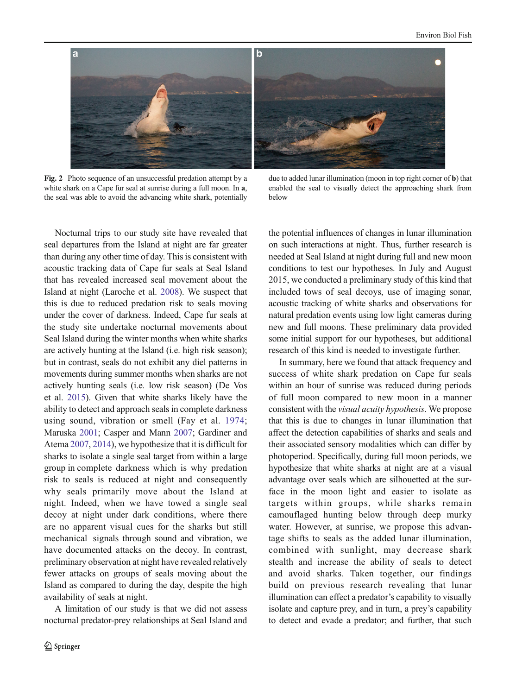<span id="page-5-0"></span>

Fig. 2 Photo sequence of an unsuccessful predation attempt by a white shark on a Cape fur seal at sunrise during a full moon. In  $a$ , the seal was able to avoid the advancing white shark, potentially

due to added lunar illumination (moon in top right corner of b) that enabled the seal to visually detect the approaching shark from below

Nocturnal trips to our study site have revealed that seal departures from the Island at night are far greater than during any other time of day. This is consistent with acoustic tracking data of Cape fur seals at Seal Island that has revealed increased seal movement about the Island at night (Laroche et al. [2008\)](#page-6-0). We suspect that this is due to reduced predation risk to seals moving under the cover of darkness. Indeed, Cape fur seals at the study site undertake nocturnal movements about Seal Island during the winter months when white sharks are actively hunting at the Island (i.e. high risk season); but in contrast, seals do not exhibit any diel patterns in movements during summer months when sharks are not actively hunting seals (i.e. low risk season) (De Vos et al. [2015\)](#page-6-0). Given that white sharks likely have the ability to detect and approach seals in complete darkness using sound, vibration or smell (Fay et al. [1974](#page-6-0); Maruska [2001;](#page-7-0) Casper and Mann [2007](#page-6-0); Gardiner and Atema [2007](#page-6-0), [2014\)](#page-6-0), we hypothesize that it is difficult for sharks to isolate a single seal target from within a large group in complete darkness which is why predation risk to seals is reduced at night and consequently why seals primarily move about the Island at night. Indeed, when we have towed a single seal decoy at night under dark conditions, where there are no apparent visual cues for the sharks but still mechanical signals through sound and vibration, we have documented attacks on the decoy. In contrast, preliminary observation at night have revealed relatively fewer attacks on groups of seals moving about the Island as compared to during the day, despite the high availability of seals at night.

A limitation of our study is that we did not assess nocturnal predator-prey relationships at Seal Island and the potential influences of changes in lunar illumination on such interactions at night. Thus, further research is needed at Seal Island at night during full and new moon conditions to test our hypotheses. In July and August 2015, we conducted a preliminary study of this kind that included tows of seal decoys, use of imaging sonar, acoustic tracking of white sharks and observations for natural predation events using low light cameras during new and full moons. These preliminary data provided some initial support for our hypotheses, but additional research of this kind is needed to investigate further.

In summary, here we found that attack frequency and success of white shark predation on Cape fur seals within an hour of sunrise was reduced during periods of full moon compared to new moon in a manner consistent with the visual acuity hypothesis. We propose that this is due to changes in lunar illumination that affect the detection capabilities of sharks and seals and their associated sensory modalities which can differ by photoperiod. Specifically, during full moon periods, we hypothesize that white sharks at night are at a visual advantage over seals which are silhouetted at the surface in the moon light and easier to isolate as targets within groups, while sharks remain camouflaged hunting below through deep murky water. However, at sunrise, we propose this advantage shifts to seals as the added lunar illumination, combined with sunlight, may decrease shark stealth and increase the ability of seals to detect and avoid sharks. Taken together, our findings build on previous research revealing that lunar illumination can effect a predator's capability to visually isolate and capture prey, and in turn, a prey's capability to detect and evade a predator; and further, that such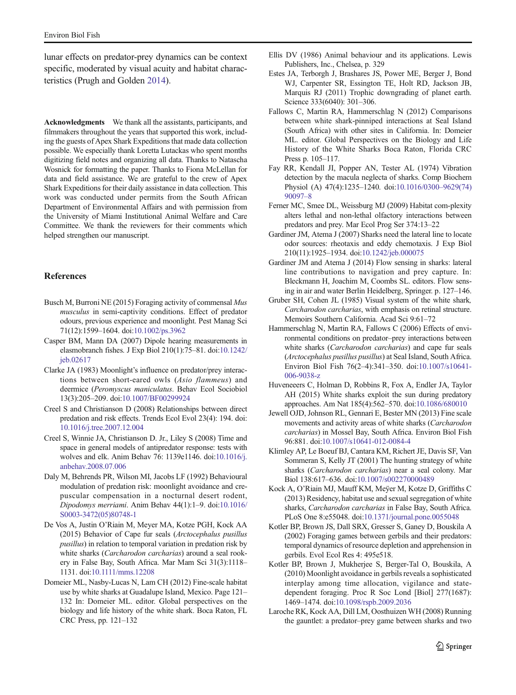<span id="page-6-0"></span>lunar effects on predator-prey dynamics can be context specific, moderated by visual acuity and habitat characteristics (Prugh and Golden [2014\)](#page-7-0).

Acknowledgments We thank all the assistants, participants, and filmmakers throughout the years that supported this work, including the guests of Apex Shark Expeditions that made data collection possible. We especially thank Loretta Lutackas who spent months digitizing field notes and organizing all data. Thanks to Natascha Wosnick for formatting the paper. Thanks to Fiona McLellan for data and field assistance. We are grateful to the crew of Apex Shark Expeditions for their daily assistance in data collection. This work was conducted under permits from the South African Department of Environmental Affairs and with permission from the University of Miami Institutional Animal Welfare and Care Committee. We thank the reviewers for their comments which helped strengthen our manuscript.

# References

- Busch M, Burroni NE (2015) Foraging activity of commensal Mus musculus in semi-captivity conditions. Effect of predator odours, previous experience and moonlight. Pest Manag Sci 71(12):1599–1604. doi:[10.1002/ps.3962](http://dx.doi.org/10.1002/ps.3962)
- Casper BM, Mann DA (2007) Dipole hearing measurements in elasmobranch fishes. J Exp Biol 210(1):75–81. doi[:10.1242/](http://dx.doi.org/10.1242/jeb.02617) [jeb.02617](http://dx.doi.org/10.1242/jeb.02617)
- Clarke JA (1983) Moonlight's influence on predator/prey interactions between short-eared owls (Asio flammeus) and deermice (Peromyscus maniculatus. Behav Ecol Sociobiol 13(3):205–209. doi[:10.1007/BF00299924](http://dx.doi.org/10.1007/BF00299924)
- Creel S and Christianson D (2008) Relationships between direct predation and risk effects. Trends Ecol Evol 23(4): 194. doi: [10.1016/j.tree.2007.12.004](http://dx.doi.org/10.1016/j.tree.2007.12.004)
- Creel S, Winnie JA, Christianson D. Jr., Liley S (2008) Time and space in general models of antipredator response: tests with wolves and elk. Anim Behav 76: 1139e1146. doi:[10.1016/j.](http://dx.doi.org/10.1016/j.anbehav.2008.07.006) [anbehav.2008.07.006](http://dx.doi.org/10.1016/j.anbehav.2008.07.006)
- Daly M, Behrends PR, Wilson MI, Jacobs LF (1992) Behavioural modulation of predation risk: moonlight avoidance and crepuscular compensation in a nocturnal desert rodent, Dipodomys merriami. Anim Behav 44(1):1–9. doi[:10.1016/](http://dx.doi.org/10.1016/S0003-3472(05)80748-1) [S0003-3472\(05\)80748-1](http://dx.doi.org/10.1016/S0003-3472(05)80748-1)
- De Vos A, Justin O'Riain M, Meyer MA, Kotze PGH, Kock AA (2015) Behavior of Cape fur seals (Arctocephalus pusillus pusillus) in relation to temporal variation in predation risk by white sharks (Carcharodon carcharias) around a seal rookery in False Bay, South Africa. Mar Mam Sci 31(3):1118– 1131. doi[:10.1111/mms.12208](http://dx.doi.org/10.1111/mms.12208)
- Domeier ML, Nasby-Lucas N, Lam CH (2012) Fine-scale habitat use by white sharks at Guadalupe Island, Mexico. Page 121– 132 In: Domeier ML. editor. Global perspectives on the biology and life history of the white shark. Boca Raton, FL CRC Press, pp. 121–132
- Ellis DV (1986) Animal behaviour and its applications. Lewis Publishers, Inc., Chelsea, p. 329
- Estes JA, Terborgh J, Brashares JS, Power ME, Berger J, Bond WJ, Carpenter SR, Essington TE, Holt RD, Jackson JB, Marquis RJ (2011) Trophic downgrading of planet earth. Science 333(6040): 301-306.
- Fallows C, Martin RA, Hammerschlag N (2012) Comparisons between white shark-pinniped interactions at Seal Island (South Africa) with other sites in California. In: Domeier ML. editor. Global Perspectives on the Biology and Life History of the White Sharks Boca Raton, Florida CRC Press p. 105–117.
- Fay RR, Kendall JI, Popper AN, Tester AL (1974) Vibration detection by the macula neglecta of sharks. Comp Biochem Physiol (A) 47(4):1235–1240. doi[:10.1016/0300](http://dx.doi.org/10.1016/0300-9629(74)90097-8)–9629(74) [90097](http://dx.doi.org/10.1016/0300-9629(74)90097-8)–8
- Ferner MC, Smee DL, Weissburg MJ (2009) Habitat com-plexity alters lethal and non-lethal olfactory interactions between predators and prey. Mar Ecol Prog Ser 374:13–22
- Gardiner JM, Atema J (2007) Sharks need the lateral line to locate odor sources: rheotaxis and eddy chemotaxis. J Exp Biol 210(11):1925–1934. doi:[10.1242/jeb.000075](http://dx.doi.org/10.1242/jeb.000075)
- Gardiner JM and Atema J (2014) Flow sensing in sharks: lateral line contributions to navigation and prey capture. In: Bleckmann H, Joachim M, Coombs SL. editors. Flow sensing in air and water Berlin Heidelberg, Springer. p. 127–146.
- Gruber SH, Cohen JL (1985) Visual system of the white shark, Carcharodon carcharias, with emphasis on retinal structure. Memoirs Southern California. Acad Sci 9:61–72
- Hammerschlag N, Martin RA, Fallows C (2006) Effects of environmental conditions on predator–prey interactions between white sharks (Carcharodon carcharias) and cape fur seals (Arctocephalus pusillus pusillus) at Seal Island, South Africa. Environ Biol Fish 76(2–4):341–350. doi[:10.1007/s10641-](http://dx.doi.org/10.1007/s10641-006-9038-z) [006-9038-z](http://dx.doi.org/10.1007/s10641-006-9038-z)
- Huveneeers C, Holman D, Robbins R, Fox A, Endler JA, Taylor AH (2015) White sharks exploit the sun during predatory approaches. Am Nat 185(4):562–570. doi:[10.1086/680010](http://dx.doi.org/10.1086/680010)
- Jewell OJD, Johnson RL, Gennari E, Bester MN (2013) Fine scale movements and activity areas of white sharks (Carcharodon carcharias) in Mossel Bay, South Africa. Environ Biol Fish 96:881. doi:[10.1007/s10641-012-0084-4](http://dx.doi.org/10.1007/s10641-012-0084-4)
- Klimley AP, Le Boeuf BJ, Cantara KM, Richert JE, Davis SF, Van Sommeran S, Kelly JT (2001) The hunting strategy of white sharks (Carcharodon carcharias) near a seal colony. Mar Biol 138:617–636. doi:[10.1007/s002270000489](http://dx.doi.org/10.1007/s002270000489)
- Kock A, O'Riain MJ, Mauff KM, Meÿer M, Kotze D, Griffiths C (2013) Residency, habitat use and sexual segregation of white sharks, Carcharodon carcharias in False Bay, South Africa. PLoS One 8:e55048. doi[:10.1371/journal.pone.0055048](http://dx.doi.org/10.1371/journal.pone.0055048)
- Kotler BP, Brown JS, Dall SRX, Gresser S, Ganey D, Bouskila A (2002) Foraging games between gerbils and their predators: temporal dynamics of resource depletion and apprehension in gerbils. Evol Ecol Res 4: 495e518.
- Kotler BP, Brown J, Mukherjee S, Berger-Tal O, Bouskila, A (2010) Moonlight avoidance in gerbils reveals a sophisticated interplay among time allocation, vigilance and statedependent foraging. Proc R Soc Lond [Biol] 277(1687): 1469–1474. doi[:10.1098/rspb.2009.2036](http://dx.doi.org/10.1098/rspb.2009.2036)
- Laroche RK, Kock AA, Dill LM, Oosthuizen WH (2008) Running the gauntlet: a predator–prey game between sharks and two